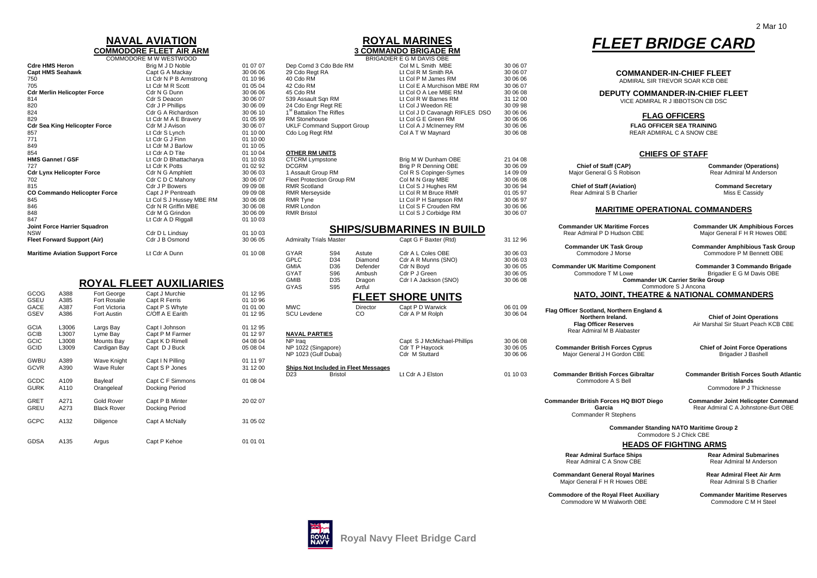### **NAVAL AVIATIONCOMMODORE FLEET AIR ARM**

|                                        | COMMODORE M W WESTWOOD   |          |                                      | BRIGADIER E G M DAVIS OBE        |
|----------------------------------------|--------------------------|----------|--------------------------------------|----------------------------------|
| <b>Cdre HMS Heron</b>                  | Brig M J D Noble         | 01 07 07 | Dep Comd 3 Cdo Bde RM                | Col M L Smith MBE                |
| <b>Capt HMS Seahawk</b>                | Capt G A Mackay          | 30 06 06 | 29 Cdo Regt RA                       | Lt Col R M Smith RA              |
| 750                                    | Lt Cdr N P B Armstrong   | 01 10 96 | 40 Cdo RM                            | Lt Col P M James RM              |
| 705                                    | Lt Cdr M R Scott         | 01 05 04 | 42 Cdo RM                            | Lt Col E A Murchison MBE RM      |
| <b>Cdr Merlin Helicopter Force</b>     | Cdr N G Dunn             | 30 06 06 | 45 Cdo RM                            | Lt Col O A Lee MBE RM            |
| 814                                    | Cdr S Deacon             | 30 06 07 | 539 Assault Sqn RM                   | Lt Col R W Barnes RM             |
| 820                                    | Cdr J P Phillips         | 30 06 09 | 24 Cdo Engr Regt RE                  | Lt Col J Weedon RE               |
| 824                                    | Cdr G A Richardson       | 30 06 10 | 1 <sup>st</sup> Battalion The Rifles | Lt Col J D Cavanagh RIFLES DS    |
| 829                                    | Lt Cdr M A E Bravery     | 01 05 99 | <b>RM Stonehouse</b>                 | Lt Col G E Green RM              |
| <b>Cdr Sea King Helicopter Force</b>   | Cdr M J Avison           | 30 06 07 | <b>UKLF Command Support Group</b>    | Lt Col A J McInerney RM          |
| 857                                    | Lt Cdr S Lynch           | 01 10 00 | Cdo Log Regt RM                      | Col A T W Maynard                |
| 771                                    | Lt Cdr G J Finn          | 01 10 00 |                                      |                                  |
| 849                                    | Lt Cdr M J Barlow        | 01 10 05 |                                      |                                  |
| 854                                    | Lt Cdr A D Tite          | 01 10 04 | <b>OTHER RM UNITS</b>                |                                  |
| <b>HMS Gannet / GSF</b>                | Lt Cdr D Bhattacharya    | 01 10 03 | <b>CTCRM Lympstone</b>               | Brig M W Dunham OBE              |
| 727                                    | Lt Cdr K Potts           | 01 02 92 | <b>DCGRM</b>                         | Brig P R Denning OBE             |
| <b>Cdr Lynx Helicopter Force</b>       | Cdr N G Amphlett         | 30 06 03 | 1 Assault Group RM                   | Col R S Copinger-Symes           |
| 702                                    | Cdr C D C Mahony         | 30 06 07 | Fleet Protection Group RM            | Col M N Gray MBE                 |
| 815                                    | Cdr J P Bowers           | 09 09 08 | <b>RMR Scotland</b>                  | Lt Col S J Hughes RM             |
| CO Commando Helicopter Force           | Capt J P Pentreath       | 09 09 08 | RMR Merseyside                       | Lt Col R M Bruce RMR             |
| 845                                    | Lt Col S J Hussey MBE RM | 30 06 08 | RMR Tyne                             | Lt Col P H Sampson RM            |
| 846                                    | Cdr N R Griffin MBE      | 30 06 08 | <b>RMR London</b>                    | Lt Col S F Crouden RM            |
| 848                                    | Cdr M G Grindon          | 30 06 09 | <b>RMR Bristol</b>                   | Lt Col S J Corbidge RM           |
| 847                                    | Lt Cdr A D Riggall       | 01 10 03 |                                      |                                  |
| Joint Force Harrier Squadron           |                          |          |                                      | <b>SHIPS/SUBMARINES IN BUILD</b> |
| <b>NSW</b>                             | Cdr D L Lindsay          | 01 10 03 |                                      |                                  |
| <b>Fleet Forward Support (Air)</b>     | Cdr J B Osmond           | 30 06 05 | <b>Admiralty Trials Master</b>       | Capt G F Baxter (Rtd)            |
| <b>Maritime Aviation Support Force</b> | Lt Cdr A Dunn            | 01 10 08 | GYAR<br>S94<br>Astute                | Cdr A L Coles OBE                |

## **ROYAL FLEET AUXILIARIES**

| GCOG        | A388             | Fort George        | Capt J Murchie   | 01 12 95 |                                             |                |
|-------------|------------------|--------------------|------------------|----------|---------------------------------------------|----------------|
| GSEU        | A385             | Fort Rosalie       | Capt R Ferris    | 01 10 96 |                                             | <b>FLEET</b>   |
| GACE        | A387             | Fort Victoria      | Capt P S Whyte   | 01 01 00 | <b>MWC</b>                                  | Director       |
| GSEV        | A386             | Fort Austin        | C/Off A E Earith | 01 12 95 | <b>SCU Levdene</b>                          | CO             |
| <b>GCIA</b> | L3006            | Largs Bay          | Capt I Johnson   | 01 12 95 |                                             |                |
| <b>GCIB</b> | L3007            | Lyme Bay           | Capt P M Farmer  | 01 12 97 | <b>NAVAL PARTIES</b>                        |                |
| GCIC        | L3008            | Mounts Bay         | Capt K D Rimell  | 04 08 04 | NP Iraq                                     |                |
| GCID        | L3009            | Cardigan Bay       | Capt D J Buck    | 05 08 04 | NP 1022 (Singapore)<br>NP 1023 (Gulf Dubai) |                |
| GWBU        | A389             | Wave Knight        | Capt I N Pilling | 01 11 97 |                                             |                |
| <b>GCVR</b> | A390             | Wave Ruler         | Capt S P Jones   | 31 12 00 | <b>Ships Not Included in Fleet Messages</b> |                |
|             |                  |                    |                  |          | D <sub>23</sub>                             | <b>Bristol</b> |
| GCDC        | A109             | Bayleaf            | Capt C F Simmons | 01 08 04 |                                             |                |
| <b>GURK</b> | A110             | Orangeleaf         | Docking Period   |          |                                             |                |
| <b>GRET</b> | A271             | Gold Rover         | Capt P B Minter  | 20 02 07 |                                             |                |
| GREU        | A273             | <b>Black Rover</b> | Docking Period   |          |                                             |                |
| GCPC        | A132             | Diligence          | Capt A McNally   | 31 05 02 |                                             |                |
| GDSA        | A <sub>135</sub> | Arquis             | Cant P Kehoe     | 01 01 01 |                                             |                |

### **ROYAL MARINES3 COMMANDO BRIGADE RM**

|             |                                      |                                        | <b>UUINIVIUUUKE FLEEI AIK AKIVI</b> |          |                                      |                |                                      | J UUMMANDU DRIUADE KM            |          |                                                   |                                                 |
|-------------|--------------------------------------|----------------------------------------|-------------------------------------|----------|--------------------------------------|----------------|--------------------------------------|----------------------------------|----------|---------------------------------------------------|-------------------------------------------------|
|             |                                      |                                        | COMMODORE M W WESTWOOD              |          |                                      |                |                                      | BRIGADIER E G M DAVIS OBE        |          |                                                   |                                                 |
|             | Cdre HMS Heron                       |                                        | Brig M J D Noble                    | 01 07 07 | Dep Comd 3 Cdo Bde RM                |                |                                      | Col M L Smith MBE                | 30 06 07 |                                                   |                                                 |
|             | Capt HMS Seahawk                     |                                        | Capt G A Mackay                     | 30 06 06 | 29 Cdo Regt RA                       |                |                                      | Lt Col R M Smith RA              | 30 06 07 |                                                   | <b>COMMANDER-IN-CHIEF FLEET</b>                 |
| 750         |                                      |                                        | Lt Cdr N P B Armstrong              | 01 10 96 | 40 Cdo RM                            |                |                                      | Lt Col P M James RM              | 30 06 06 | ADMIRAL SIR TREVOR SOAR KCB OBE                   |                                                 |
| 705         |                                      |                                        | Lt Cdr M R Scott                    | 01 05 04 | 42 Cdo RM                            |                |                                      | Lt Col E A Murchison MBE RM      | 30 06 07 |                                                   |                                                 |
|             | <b>Cdr Merlin Helicopter Force</b>   |                                        | Cdr N G Dunn                        | 30 06 06 | 45 Cdo RM                            |                |                                      | Lt Col O A Lee MBE RM            | 30 06 08 |                                                   | <b>DEPUTY COMMANDER-IN-CHIEF FLEET</b>          |
| 814         |                                      |                                        | Cdr S Deacon                        | 30 06 07 | 539 Assault Sqn RM                   |                |                                      | Lt Col R W Barnes RM             | 31 12 00 | VICE ADMIRAL R J IBBOTSON CB DSC                  |                                                 |
| 820         |                                      |                                        | Cdr J P Phillips                    | 30 06 09 | 24 Cdo Engr Regt RE                  |                |                                      | Lt Col J Weedon RE               | 30 09 98 |                                                   |                                                 |
| 824         |                                      |                                        | Cdr G A Richardson                  | 30 06 10 | 1 <sup>st</sup> Battalion The Rifles |                |                                      | Lt Col J D Cavanagh RIFLES DSO   | 30 06 06 |                                                   |                                                 |
| 829         |                                      |                                        | Lt Cdr M A E Bravery                | 01 05 99 | <b>RM Stonehouse</b>                 |                |                                      | Lt Col G E Green RM              | 30 06 06 |                                                   | <b>FLAG OFFICERS</b>                            |
|             | <b>Cdr Sea King Helicopter Force</b> |                                        | Cdr M J Avison                      | 30 06 07 | <b>UKLF Command Support Group</b>    |                |                                      | Lt Col A J McInerney RM          | 30 06 06 | <b>FLAG OFFICER SEA TRAINING</b>                  |                                                 |
| 857         |                                      |                                        | Lt Cdr S Lynch                      | 01 10 00 | Cdo Log Regt RM                      |                |                                      | Col A T W Maynard                | 30 06 08 | REAR ADMIRAL C A SNOW CBE                         |                                                 |
| 771         |                                      |                                        | Lt Cdr G J Finn                     | 01 10 00 |                                      |                |                                      |                                  |          |                                                   |                                                 |
|             |                                      |                                        |                                     |          |                                      |                |                                      |                                  |          |                                                   |                                                 |
| 849         |                                      |                                        | Lt Cdr M J Barlow                   | 01 10 05 |                                      |                |                                      |                                  |          |                                                   |                                                 |
| 854         |                                      |                                        | Lt Cdr A D Tite                     | 01 10 04 | <b>OTHER RM UNITS</b>                |                |                                      |                                  |          | <b>CHIEFS OF STAFF</b>                            |                                                 |
|             | <b>HMS Gannet / GSF</b>              |                                        | Lt Cdr D Bhattacharya               | 01 10 03 | <b>CTCRM Lympstone</b>               |                |                                      | Brig M W Dunham OBE              | 21 04 08 |                                                   |                                                 |
| 727         |                                      |                                        | Lt Cdr K Potts                      | 01 02 92 | <b>DCGRM</b>                         |                |                                      | Brig P R Denning OBE             | 30 06 09 | Chief of Staff (CAP)                              | Commander (O                                    |
|             | <b>Cdr Lynx Helicopter Force</b>     |                                        | Cdr N G Amphlett                    | 30 06 03 | 1 Assault Group RM                   |                |                                      | Col R S Copinger-Symes           | 14 09 09 | Major General G S Robison                         | Rear Admiral M                                  |
| 702         |                                      |                                        | Cdr C D C Mahony                    | 30 06 07 | Fleet Protection Group RM            |                |                                      | Col M N Gray MBE                 | 30 06 08 |                                                   |                                                 |
| 815         |                                      |                                        | Cdr J P Bowers                      | 09 09 08 | <b>RMR Scotland</b>                  |                |                                      | Lt Col S J Hughes RM             | 30 06 94 | <b>Chief of Staff (Aviation)</b>                  | <b>Command Se</b>                               |
|             |                                      | CO Commando Helicopter Force           | Capt J P Pentreath                  | 09 09 08 | <b>RMR Merseyside</b>                |                |                                      | Lt Col R M Bruce RMR             | 01 05 97 | Rear Admiral S B Charlier                         | Miss E Ca                                       |
| 845         |                                      |                                        | Lt Col S J Hussey MBE RM            | 30 06 08 | <b>RMR Tyne</b>                      |                |                                      | Lt Col P H Sampson RM            | 30 06 97 |                                                   |                                                 |
| 846         |                                      |                                        | Cdr N R Griffin MBE                 | 30 06 08 | RMR London                           |                |                                      | Lt Col S F Crouden RM            | 30 06 06 |                                                   |                                                 |
|             |                                      |                                        |                                     |          |                                      |                |                                      |                                  |          | <b>MARITIME OPERATIONAL COMMANDERS</b>            |                                                 |
| 848         |                                      |                                        | Cdr M G Grindon                     | 30 06 09 | <b>RMR Bristol</b>                   |                |                                      | Lt Col S J Corbidge RM           | 30 06 07 |                                                   |                                                 |
| 847         |                                      |                                        | Lt Cdr A D Riggall                  | 01 10 03 |                                      |                |                                      |                                  |          |                                                   |                                                 |
|             | Joint Force Harrier Squadron         |                                        |                                     |          |                                      |                |                                      | <b>SHIPS/SUBMARINES IN BUILD</b> |          | <b>Commander UK Maritime Forces</b>               | <b>Commander UK Amp</b>                         |
| NSW         |                                      |                                        | Cdr D L Lindsay                     | 01 10 03 |                                      |                |                                      |                                  |          | Rear Admiral P D Hudson CBE                       | Major General F H I                             |
|             | <b>Fleet Forward Support (Air)</b>   |                                        | Cdr J B Osmond                      | 30 06 05 | <b>Admiralty Trials Master</b>       |                |                                      | Capt G F Baxter (Rtd)            | 31 12 96 |                                                   |                                                 |
|             |                                      |                                        |                                     |          |                                      |                |                                      |                                  |          | <b>Commander UK Task Group</b>                    | <b>Commander Amphibi</b>                        |
|             |                                      | <b>Maritime Aviation Support Force</b> | Lt Cdr A Dunn                       | 01 10 08 | GYAR                                 | S94            | Astute                               | Cdr A L Coles OBE                | 30 06 03 | Commodore J Morse                                 | Commodore P M B                                 |
|             |                                      |                                        |                                     |          | <b>GPLC</b>                          | D34            | Diamond                              | Cdr A R Munns (SNO)              | 30 06 03 |                                                   |                                                 |
|             |                                      |                                        |                                     |          | <b>GMIA</b>                          | D36            | Defender                             | Cdr N Boyd                       | 30 06 05 | <b>Commander UK Maritime Component</b>            | <b>Commander 3 Comr</b>                         |
|             |                                      |                                        |                                     |          | <b>GYAT</b>                          | S96            | Ambush                               | Cdr P J Green                    | 30 06 05 | Commodore T M Lowe                                | Brigadier E G M                                 |
|             |                                      |                                        |                                     |          | <b>GMIB</b>                          | D35            | Dragon                               | Cdr I A Jackson (SNO)            | 30 06 08 | <b>Commander UK Carrier Strike Group</b>          |                                                 |
|             |                                      |                                        | <b>ROYAL FLEET AUXILIARIES</b>      |          |                                      | <b>S95</b>     |                                      |                                  |          |                                                   |                                                 |
|             |                                      |                                        |                                     |          | GYAS                                 |                | Artful                               |                                  |          | Commodore S J Ancona                              |                                                 |
| GCOG        | A388                                 | Fort George                            | Capt J Murchie                      | 01 12 95 |                                      |                |                                      | <b>FLEET SHORE UNITS</b>         |          | <b>NATO, JOINT, THEATRE &amp; NATIONAL COMMAN</b> |                                                 |
| GSEU        | A385                                 | <b>Fort Rosalie</b>                    | Capt R Ferris                       | 01 10 96 |                                      |                |                                      |                                  |          |                                                   |                                                 |
| GACE        | A387                                 | Fort Victoria                          | Capt P S Whyte                      | 01 01 00 | <b>MWC</b>                           |                | Director                             | Capt P D Warwick                 | 06 01 09 | Flag Officer Scotland, Northern England &         |                                                 |
| GSEV        | A386                                 | Fort Austin                            | C/Off A E Earith                    | 01 12 95 | <b>SCU Levdene</b>                   |                | $_{\rm CO}$                          | Cdr A P M Rolph                  | 30 06 04 | Northern Ireland.                                 | Chief of Joint C                                |
|             |                                      |                                        |                                     |          |                                      |                |                                      |                                  |          |                                                   |                                                 |
| <b>GCIA</b> | L3006                                | Largs Bay                              | Capt I Johnson                      | 01 12 95 |                                      |                |                                      |                                  |          | <b>Flag Officer Reserves</b>                      | Air Marshal Sir Stuart                          |
| GCIB        | L3007                                | Lyme Bay                               | Capt P M Farmer                     | 01 12 97 | <b>NAVAL PARTIES</b>                 |                |                                      |                                  |          | Rear Admiral M B Alabaster                        |                                                 |
| GCIC        | L3008                                | Mounts Bay                             | Capt K D Rimell                     | 04 08 04 | NP Iraq                              |                |                                      | Capt S J McMichael-Phillips      | 30 06 08 |                                                   |                                                 |
| GCID        | L3009                                | Cardigan Bay                           | Capt D J Buck                       | 05 08 04 | NP 1022 (Singapore)                  |                |                                      | Cdr T P Haycock                  | 30 06 05 | <b>Commander British Forces Cyprus</b>            | <b>Chief of Joint Ford</b>                      |
|             |                                      |                                        |                                     |          | NP 1023 (Gulf Dubai)                 |                |                                      | Cdr M Stuttard                   |          |                                                   | Brigadier J E                                   |
|             |                                      |                                        |                                     |          |                                      |                |                                      |                                  | 30 06 06 | Major General J H Gordon CBE                      |                                                 |
| GWBU        | A389                                 | <b>Wave Knight</b>                     | Capt I N Pilling                    | 01 11 97 |                                      |                |                                      |                                  |          |                                                   |                                                 |
| GCVR        | A390                                 | <b>Wave Ruler</b>                      | Capt S P Jones                      | 31 12 00 |                                      |                | Ships Not Included in Fleet Messages |                                  |          |                                                   |                                                 |
|             |                                      |                                        |                                     |          | D <sub>23</sub>                      | <b>Bristol</b> |                                      | Lt Cdr A J Elston                | 01 10 03 | <b>Commander British Forces Gibraltar</b>         | <b>Commander British For</b>                    |
| GCDC        | A109                                 | Bayleaf                                | Capt C F Simmons                    | 01 08 04 |                                      |                |                                      |                                  |          | Commodore A S Bell                                | Island                                          |
| GURK        | A110                                 | Orangeleaf                             | Docking Period                      |          |                                      |                |                                      |                                  |          |                                                   | Commodore P J                                   |
|             |                                      |                                        |                                     |          |                                      |                |                                      |                                  |          |                                                   |                                                 |
| <b>GRET</b> | A271                                 | <b>Gold Rover</b>                      | Capt P B Minter                     | 20 02 07 |                                      |                |                                      |                                  |          | <b>Commander British Forces HQ BIOT Diego</b>     | <b>Commander Joint Heli</b>                     |
| GREU        | A273                                 | <b>Black Rover</b>                     | Docking Period                      |          |                                      |                |                                      |                                  |          | Garcia                                            | Rear Admiral C A Johr                           |
|             |                                      |                                        |                                     |          |                                      |                |                                      |                                  |          | Commander R Stephens                              |                                                 |
| GCPC        | A132                                 |                                        |                                     | 31 05 02 |                                      |                |                                      |                                  |          |                                                   |                                                 |
|             |                                      | Diligence                              | Capt A McNally                      |          |                                      |                |                                      |                                  |          |                                                   |                                                 |
|             |                                      |                                        |                                     |          |                                      |                |                                      |                                  |          |                                                   | <b>Commander Standing NATO Maritime Group 2</b> |
|             |                                      |                                        |                                     |          |                                      |                |                                      |                                  |          | Commodore S J Chick CBE                           |                                                 |
| GDSA        | A135                                 | Argus                                  | Capt P Kehoe                        | 01 01 01 |                                      |                |                                      |                                  |          |                                                   | <b>HEADS OF FIGHTING ARMS</b>                   |
|             |                                      |                                        |                                     |          |                                      |                |                                      |                                  |          | <b>Rear Admiral Surface Ships</b>                 | Rear Admiral St                                 |
|             |                                      |                                        |                                     |          |                                      |                |                                      |                                  |          | Rear Admiral C A Snow CBE                         | Rear Admiral M                                  |
|             |                                      |                                        |                                     |          |                                      |                |                                      |                                  |          |                                                   |                                                 |
|             |                                      |                                        |                                     |          |                                      |                |                                      |                                  |          | <b>Commandant General Royal Marines</b>           | <b>Rear Admiral Fle</b>                         |
|             |                                      |                                        |                                     |          |                                      |                |                                      |                                  |          |                                                   |                                                 |

# *FLEET BRIDGE CARD*

#### **CHIEFS OF STAFF**

| Chief of Staff (CAP)             | <b>Commander (Operations)</b> |
|----------------------------------|-------------------------------|
| Major General G S Robison        | Rear Admiral M Anderson       |
| <b>Chief of Staff (Aviation)</b> | <b>Command Secretary</b>      |
| Rear Admiral S B Charlier        | Miss E Cassidy                |
| MARITIME OPERATIONAL COMMANDERS  |                               |

| 848<br>847 |                              |                                        | Cdr M G Grindon<br>Lt Cdr A D Riggall | 30 06 09<br>01 10 03 | <b>RMR Bristol</b>             |                |                                      | Lt Col S J Corbidge RM           | 30 06 07 | <b>MANITIME OF ENATIONAL COMMANDENS</b>                            |                                                                        |
|------------|------------------------------|----------------------------------------|---------------------------------------|----------------------|--------------------------------|----------------|--------------------------------------|----------------------------------|----------|--------------------------------------------------------------------|------------------------------------------------------------------------|
| NSW        | Joint Force Harrier Squadron |                                        | Cdr D L Lindsay                       | 01 10 03             |                                |                |                                      | <b>SHIPS/SUBMARINES IN BUILD</b> |          | <b>Commander UK Maritime Forces</b><br>Rear Admiral P D Hudson CBE | <b>Commander UK Amphibious Forces</b><br>Major General F H R Howes OBE |
|            | Fleet Forward Support (Air)  |                                        | Cdr J B Osmond                        | 30 06 05             | <b>Admiralty Trials Master</b> |                |                                      | Capt G F Baxter (Rtd)            | 31 12 96 |                                                                    |                                                                        |
|            |                              |                                        |                                       |                      |                                |                |                                      |                                  |          | <b>Commander UK Task Group</b>                                     | <b>Commander Amphibious Task Group</b>                                 |
|            |                              | <b>Maritime Aviation Support Force</b> | Lt Cdr A Dunn                         | 01 10 08             | GYAR                           | S94            | Astute                               | Cdr A L Coles OBE                | 30 06 03 | Commodore J Morse                                                  | Commodore P M Bennett OBE                                              |
|            |                              |                                        |                                       |                      | GPLC                           | D34            | Diamond                              | Cdr A R Munns (SNO)              | 30 06 03 |                                                                    |                                                                        |
|            |                              |                                        |                                       |                      | <b>GMIA</b>                    | D36            | Defender                             | Cdr N Boyd                       | 30 06 05 | <b>Commander UK Maritime Component</b>                             | Commander 3 Commando Brigade                                           |
|            |                              |                                        |                                       |                      | <b>GYAT</b>                    | S96            | Ambush                               | Cdr P J Green                    | 30 06 05 | Commodore T M Lowe                                                 | Brigadier E G M Davis OBE                                              |
|            |                              |                                        | ROYAL FLEET AUXILIARIES               |                      | <b>GMIB</b>                    | D35            | Dragon                               | Cdr I A Jackson (SNO)            | 30 06 08 | <b>Commander UK Carrier Strike Group</b>                           |                                                                        |
|            |                              |                                        |                                       |                      | GYAS                           | S95            | Artful                               |                                  |          | Commodore S J Ancona                                               |                                                                        |
| GCOG       | A388                         | Fort George                            | Capt J Murchie                        | 01 12 95             |                                |                |                                      | <b>FLEET SHORE UNITS</b>         |          | NATO, JOINT, THEATRE & NATIONAL COMMANDERS                         |                                                                        |
| GSEU       | A385                         | Fort Rosalie                           | Capt R Ferris                         | 01 10 96             |                                |                |                                      |                                  |          |                                                                    |                                                                        |
| GACE       | A387                         | Fort Victoria                          | Capt P S Whyte                        | 01 01 00             | <b>MWC</b>                     |                | Director                             | Capt P D Warwick                 | 06 01 09 | Flag Officer Scotland, Northern England &                          |                                                                        |
| GSEV       | A386                         | <b>Fort Austin</b>                     | C/Off A E Earith                      | 01 12 95             | <b>SCU Levdene</b>             |                | CO                                   | Cdr A P M Rolph                  | 30 06 04 | Northern Ireland.                                                  | <b>Chief of Joint Operations</b>                                       |
|            |                              |                                        |                                       |                      |                                |                |                                      |                                  |          | <b>Flag Officer Reserves</b>                                       | Air Marshal Sir Stuart Peach KCB CBE                                   |
| GCIA       | L3006                        | Largs Bay                              | Capt I Johnson                        | 01 12 95             |                                |                |                                      |                                  |          | Rear Admiral M B Alabaster                                         |                                                                        |
| GCIB       | L3007                        | Lyme Bay                               | Capt P M Farmer                       | 01 12 97             | <b>NAVAL PARTIES</b>           |                |                                      |                                  |          |                                                                    |                                                                        |
| GCIC       | L3008                        | Mounts Bay                             | Capt K D Rimell                       | 04 08 04             | NP Iraq                        |                |                                      | Capt S J McMichael-Phillips      | 30 06 08 |                                                                    |                                                                        |
| GCID       | L3009                        | Cardigan Bay                           | Capt D J Buck                         | 05 08 04             | NP 1022 (Singapore)            |                |                                      | Cdr T P Haycock                  | 30 06 05 | <b>Commander British Forces Cyprus</b>                             | <b>Chief of Joint Force Operations</b>                                 |
|            |                              |                                        |                                       |                      | NP 1023 (Gulf Dubai)           |                |                                      | Cdr M Stuttard                   | 30 06 06 | Major General J H Gordon CBE                                       | <b>Brigadier J Bashell</b>                                             |
| GWBU       | A389                         | Wave Knight                            | Capt I N Pilling                      | 01 11 97             |                                |                |                                      |                                  |          |                                                                    |                                                                        |
| GCVR       | A390                         | <b>Wave Ruler</b>                      | Capt S P Jones                        | 31 12 00             |                                | <b>Bristol</b> | Ships Not Included in Fleet Messages | Lt Cdr A J Elston                |          | <b>Commander British Forces Gibraltar</b>                          | <b>Commander British Forces South Atlantic</b>                         |
| GCDC       | A109                         | Bayleaf                                | Capt C F Simmons                      | 01 08 04             | D <sub>23</sub>                |                |                                      |                                  | 01 10 03 | Commodore A S Bell                                                 | Islands                                                                |
| GURK       | A110                         | Orangeleaf                             | Docking Period                        |                      |                                |                |                                      |                                  |          |                                                                    | Commodore P J Thicknesse                                               |
|            |                              |                                        |                                       |                      |                                |                |                                      |                                  |          |                                                                    |                                                                        |
| GRET       | A271                         | <b>Gold Rover</b>                      | Capt P B Minter                       | 20 02 07             |                                |                |                                      |                                  |          | Commander British Forces HQ BIOT Diego                             | <b>Commander Joint Helicopter Command</b>                              |
| GREU       | A273                         | <b>Black Rover</b>                     | Docking Period                        |                      |                                |                |                                      |                                  |          | Garcia                                                             | Rear Admiral C A Johnstone-Burt OBE                                    |

**Rear Admiral Submarines** Rear Admiral M Anderson

**Commandant General Royal Marines**  Major General F H R Howes OBE

**Rear Admiral Fleet Air Arm**  Rear Admiral S B Charlier

**Commodore of the Royal Fleet Auxiliary Commander Maritime Reserves**<br>Commodore W M Walworth OBE Commodore C M H Steel Commodore W M Walworth OBE